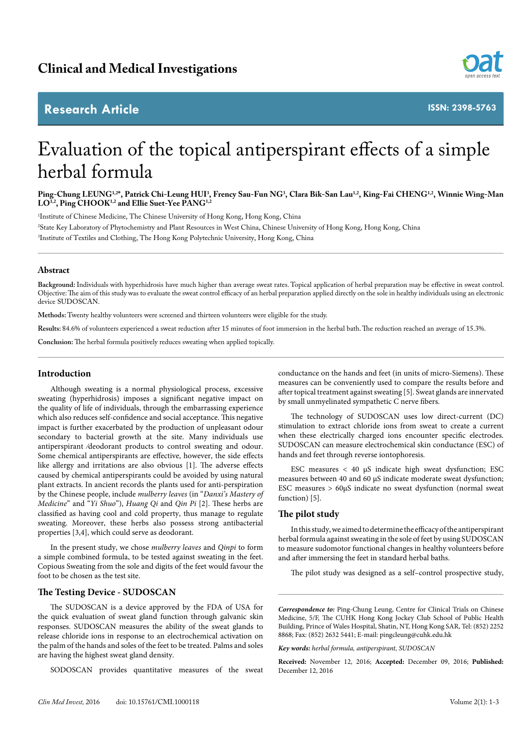# **Research Article**



**ISSN: 2398-5763**

# Evaluation of the topical antiperspirant effects of a simple herbal formula

**Ping-Chung LEUNG1,2\*, Patrick Chi-Leung HUI3 , Frency Sau-Fun NG3 , Clara Bik-San Lau1,2, King-Fai CHENG1,2, Winnie Wing-Man**  LO<sup>1,2</sup>, Ping CHOOK<sup>1,2</sup> and Ellie Suet-Yee PANG<sup>1,2</sup>

1 Institute of Chinese Medicine, The Chinese University of Hong Kong, Hong Kong, China 2 State Key Laboratory of Phytochemistry and Plant Resources in West China, Chinese University of Hong Kong, Hong Kong, China 3 Institute of Textiles and Clothing, The Hong Kong Polytechnic University, Hong Kong, China

# **Abstract**

**Background:** Individuals with hyperhidrosis have much higher than average sweat rates. Topical application of herbal preparation may be effective in sweat control. Objective: The aim of this study was to evaluate the sweat control efficacy of an herbal preparation applied directly on the sole in healthy individuals using an electronic device SUDOSCAN.

**Methods:** Twenty healthy volunteers were screened and thirteen volunteers were eligible for the study.

**Results:** 84.6% of volunteers experienced a sweat reduction after 15 minutes of foot immersion in the herbal bath. The reduction reached an average of 15.3%.

**Conclusion:** The herbal formula positively reduces sweating when applied topically.

# **Introduction**

Although sweating is a normal physiological process, excessive sweating (hyperhidrosis) imposes a significant negative impact on the quality of life of individuals, through the embarrassing experience which also reduces self-confidence and social acceptance. This negative impact is further exacerbated by the production of unpleasant odour secondary to bacterial growth at the site. Many individuals use antiperspirant ⁄deodorant products to control sweating and odour. Some chemical antiperspirants are effective, however, the side effects like allergy and irritations are also obvious [1]. The adverse effects caused by chemical antiperspirants could be avoided by using natural plant extracts. In ancient records the plants used for anti-perspiration by the Chinese people, include *mulberry leaves* (in "*Danxi's Mastery of Medicine*" and "*Yi Shuo*"), *Huang Qi* and *Qin Pi* [2]. These herbs are classified as having cool and cold property, thus manage to regulate sweating. Moreover, these herbs also possess strong antibacterial properties [3,4], which could serve as deodorant.

In the present study, we chose *mulberry leaves* and *Qinpi* to form a simple combined formula, to be tested against sweating in the feet. Copious Sweating from the sole and digits of the feet would favour the foot to be chosen as the test site.

# **The Testing Device - SUDOSCAN**

The SUDOSCAN is a device approved by the FDA of USA for the quick evaluation of sweat gland function through galvanic skin responses. SUDOSCAN measures the ability of the sweat glands to release chloride ions in response to an electrochemical activation on the palm of the hands and soles of the feet to be treated. Palms and soles are having the highest sweat gland density.

SODOSCAN provides quantitative measures of the sweat

conductance on the hands and feet (in units of micro-Siemens). These measures can be conveniently used to compare the results before and after topical treatment against sweating [5]. Sweat glands are innervated by small unmyelinated sympathetic C nerve fibers.

The technology of SUDOSCAN uses low direct-current (DC) stimulation to extract chloride ions from sweat to create a current when these electrically charged ions encounter specific electrodes. SUDOSCAN can measure electrochemical skin conductance (ESC) of hands and feet through reverse iontophoresis.

ESC measures < 40 μS indicate high sweat dysfunction; ESC measures between 40 and 60 μS indicate moderate sweat dysfunction; ESC measures > 60μS indicate no sweat dysfunction (normal sweat function) [5].

# **The pilot study**

In this study, we aimed to determine the efficacy of the antiperspirant herbal formula against sweating in the sole of feet by using SUDOSCAN to measure sudomotor functional changes in healthy volunteers before and after immersing the feet in standard herbal baths.

The pilot study was designed as a self–control prospective study,

*Correspondence to:* Ping-Chung Leung, Centre for Clinical Trials on Chinese Medicine, 5/F, The CUHK Hong Kong Jockey Club School of Public Health Building, Prince of Wales Hospital, Shatin, NT, Hong Kong SAR, Tel: (852) 2252 8868; Fax: (852) 2632 5441; E-mail: pingcleung@cuhk.edu.hk

*Key words: herbal formula, antiperspirant, SUDOSCAN*

**Received:** November 12, 2016; **Accepted:** December 09, 2016; **Published:**  December 12, 2016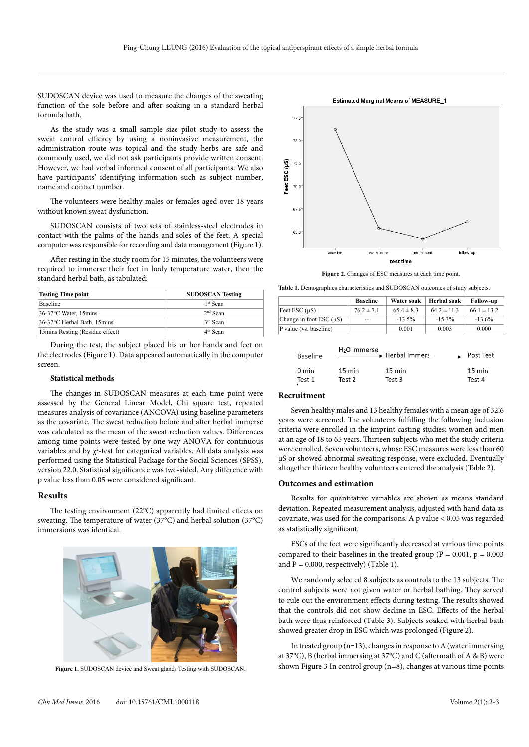SUDOSCAN device was used to measure the changes of the sweating function of the sole before and after soaking in a standard herbal formula bath.

As the study was a small sample size pilot study to assess the sweat control efficacy by using a noninvasive measurement, the administration route was topical and the study herbs are safe and commonly used, we did not ask participants provide written consent. However, we had verbal informed consent of all participants. We also have participants' identifying information such as subject number, name and contact number.

The volunteers were healthy males or females aged over 18 years without known sweat dysfunction.

SUDOSCAN consists of two sets of stainless-steel electrodes in contact with the palms of the hands and soles of the feet. A special computer was responsible for recording and data management (Figure 1).

After resting in the study room for 15 minutes, the volunteers were required to immerse their feet in body temperature water, then the standard herbal bath, as tabulated:

| <b>Testing Time point</b>        | <b>SUDOSCAN Testing</b> |  |  |  |
|----------------------------------|-------------------------|--|--|--|
| <b>Baseline</b>                  | 1 <sup>st</sup> Scan    |  |  |  |
| 36-37°C Water, 15mins            | $2nd$ Scan              |  |  |  |
| 36-37°C Herbal Bath, 15mins      | 3 <sup>rd</sup> Scan    |  |  |  |
| 15 mins Resting (Residue effect) | $4th$ Scan              |  |  |  |

During the test, the subject placed his or her hands and feet on the electrodes (Figure 1). Data appeared automatically in the computer screen.

# **Statistical methods**

The changes in SUDOSCAN measures at each time point were assessed by the General Linear Model, Chi square test, repeated measures analysis of covariance (ANCOVA) using baseline parameters as the covariate. The sweat reduction before and after herbal immerse was calculated as the mean of the sweat reduction values. Differences among time points were tested by one-way ANOVA for continuous variables and by  $\chi^2$ -test for categorical variables. All data analysis was performed using the Statistical Package for the Social Sciences (SPSS), version 22.0. Statistical significance was two-sided. Any difference with p value less than 0.05 were considered significant.

#### **Results**

The testing environment (22°C) apparently had limited effects on sweating. The temperature of water (37°C) and herbal solution (37°C) immersions was identical.





**Figure 2.** Changes of ESC measures at each time point.

**Table 1.** Demographics characteristics and SUDOSCAN outcomes of study subjects.

|                              | <b>Baseline</b> | Water soak     | Herbal soak     | <b>Follow-up</b> |
|------------------------------|-----------------|----------------|-----------------|------------------|
| Feet ESC $(\mu S)$           | $76.2 \pm 7.1$  | $65.4 \pm 8.3$ | $64.2 \pm 11.3$ | $66.1 \pm 13.2$  |
| Change in foot ESC $(\mu S)$ | $- -$           | $-13.5\%$      | $-15.3\%$       | $-13.6\%$        |
| P value (vs. baseline)       |                 | 0.001          | 0.003           | 0.000            |

| Baseline | H <sub>2</sub> O immerse | $\longrightarrow$ Herbal Immers | Post Test        |
|----------|--------------------------|---------------------------------|------------------|
| 0 min    | $15 \text{ min}$         | $15 \text{ min}$                | $15 \text{ min}$ |
| Test 1   | Test 2                   | Test 3                          | Test 4           |

# **Recruitment**

Seven healthy males and 13 healthy females with a mean age of 32.6 years were screened. The volunteers fulfilling the following inclusion criteria were enrolled in the imprint casting studies: women and men at an age of 18 to 65 years. Thirteen subjects who met the study criteria were enrolled. Seven volunteers, whose ESC measures were less than 60 µS or showed abnormal sweating response, were excluded. Eventually altogether thirteen healthy volunteers entered the analysis (Table 2).

# **Outcomes and estimation**

Results for quantitative variables are shown as means standard deviation. Repeated measurement analysis, adjusted with hand data as covariate, was used for the comparisons. A p value < 0.05 was regarded as statistically significant.

ESCs of the feet were significantly decreased at various time points compared to their baselines in the treated group ( $P = 0.001$ ,  $p = 0.003$ ) and  $P = 0.000$ , respectively) (Table 1).

We randomly selected 8 subjects as controls to the 13 subjects. The control subjects were not given water or herbal bathing. They served to rule out the environment effects during testing. The results showed that the controls did not show decline in ESC. Effects of the herbal bath were thus reinforced (Table 3). Subjects soaked with herbal bath showed greater drop in ESC which was prolonged (Figure 2).

In treated group  $(n=13)$ , changes in response to A (water immersing at 37°C), B (herbal immersing at 37°C) and C (aftermath of A & B) were shown Figure 3 In control group (n=8), changes at various time points **Figure 1.** SUDOSCAN device and Sweat glands Testing with SUDOSCAN.

Estimated Marginal Means of MEASURE\_1